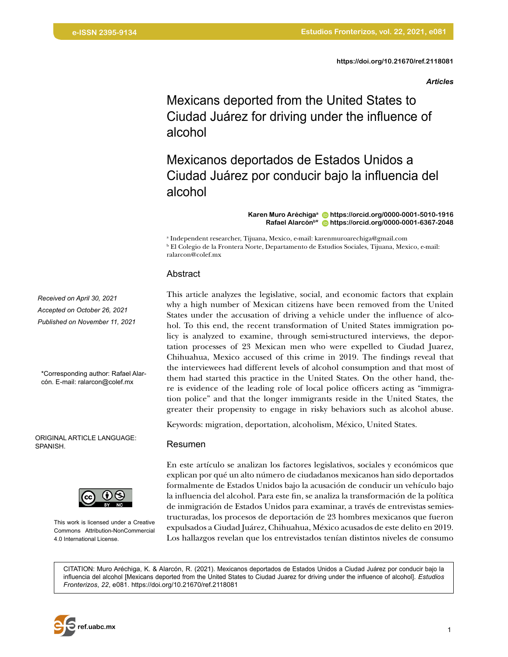*Articles*

Mexicans deported from the United States to Ciudad Juárez for driving under the influence of alcohol

Mexicanos deportados de Estados Unidos a Ciudad Juárez por conducir bajo la influencia del alcohol

> **Karen Muro Aréchigaa [https://orcid.org/0000-0001-5010-1916](https://orcid.org/0000-0001-5010-1916 ) Rafael Alarcónb\* [https://orcid.org/0000-0001-6367-2048](https://orcid.org/0000-0001-6367-2048 )**

a Independent researcher, Tijuana, Mexico, e-mail: karenmuroarechiga@gmail.com b El Colegio de la Frontera Norte, Departamento de Estudios Sociales, Tijuana, Mexico, e-mail: ralarcon@colef.mx

## Abstract

*Received on April 30, 2021 Accepted on October 26, 2021 Published on November 11, 2021*

\*Corresponding author: Rafael Alarcón. E-mail: ralarcon@colef.mx

ORIGINAL ARTICLE LANGUAGE: SPANISH.



This work is licensed under a Creative Commons Attribution-NonCommercial 4.0 International License.

This article analyzes the legislative, social, and economic factors that explain why a high number of Mexican citizens have been removed from the United States under the accusation of driving a vehicle under the influence of alcohol. To this end, the recent transformation of United States immigration policy is analyzed to examine, through semi-structured interviews, the deportation processes of 23 Mexican men who were expelled to Ciudad Juarez, Chihuahua, Mexico accused of this crime in 2019. The findings reveal that the interviewees had different levels of alcohol consumption and that most of them had started this practice in the United States. On the other hand, there is evidence of the leading role of local police officers acting as "immigration police" and that the longer immigrants reside in the United States, the greater their propensity to engage in risky behaviors such as alcohol abuse.

Keywords: migration, deportation, alcoholism, México, United States.

#### Resumen

En este artículo se analizan los factores legislativos, sociales y económicos que explican por qué un alto número de ciudadanos mexicanos han sido deportados formalmente de Estados Unidos bajo la acusación de conducir un vehículo bajo la influencia del alcohol. Para este fin, se analiza la transformación de la política de inmigración de Estados Unidos para examinar, a través de entrevistas semiestructuradas, los procesos de deportación de 23 hombres mexicanos que fueron expulsados a Ciudad Juárez, Chihuahua, México acusados de este delito en 2019. Los hallazgos revelan que los entrevistados tenían distintos niveles de consumo

CITATION: Muro Aréchiga, K. & Alarcón, R. (2021). Mexicanos deportados de Estados Unidos a Ciudad Juárez por conducir bajo la influencia del alcohol [Mexicans deported from the United States to Ciudad Juarez for driving under the influence of alcohol]. *Estudios Fronterizos*, *22*, e081. [https://doi.org/10.21670/ref.2118081](https://doi.org/10.21670/ref.2118081 )

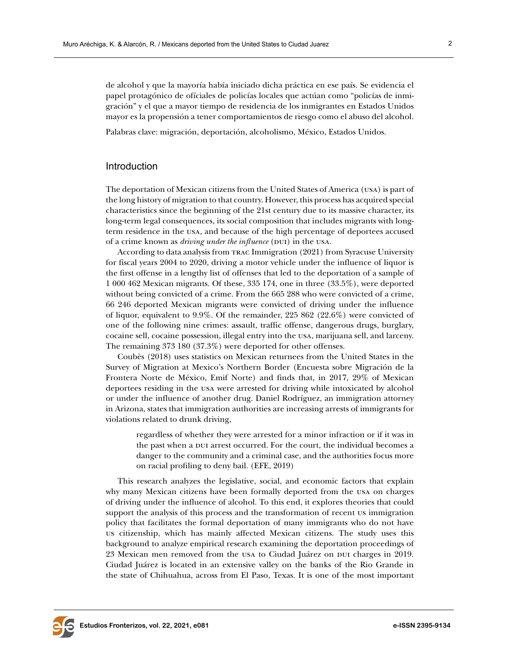de alcohol y que la mayoría había iniciado dicha práctica en ese país. Se evidencia el papel protagónico de ofíciales de policías locales que actúan como "policías de inmigración" y el que a mayor tiempo de residencia de los inmigrantes en Estados Unidos mayor es la propensión a tener comportamientos de riesgo como el abuso del alcohol.

Palabras clave: migración, deportación, alcoholismo, México, Estados Unidos.

### Introduction

The deportation of Mexican citizens from the United States of America (usa) is part of the long history of migration to that country. However, this process has acquired special characteristics since the beginning of the 21st century due to its massive character, its long-term legal consequences, its social composition that includes migrants with longterm residence in the usa, and because of the high percentage of deportees accused of a crime known as *driving under the influence* (DUI) in the USA.

According to data analysis from trac Immigration (2021) from Syracuse University for fiscal years 2004 to 2020, driving a motor vehicle under the influence of liquor is the first offense in a lengthy list of offenses that led to the deportation of a sample of 1 000 462 Mexican migrants. Of these, 335 174, one in three (33.5%), were deported without being convicted of a crime. From the 665 288 who were convicted of a crime, 66 246 deported Mexican migrants were convicted of driving under the influence of liquor, equivalent to 9.9%. Of the remainder, 225 862 (22.6%) were convicted of one of the following nine crimes: assault, traffic offense, dangerous drugs, burglary, cocaine sell, cocaine possession, illegal entry into the usa, marijuana sell, and larceny. The remaining 373 180 (37.3%) were deported for other offenses.

Coubès (2018) uses statistics on Mexican returnees from the United States in the Survey of Migration at Mexico's Northern Border (Encuesta sobre Migración de la Frontera Norte de México, Emif Norte) and finds that, in 2017, 29% of Mexican deportees residing in the usa were arrested for driving while intoxicated by alcohol or under the influence of another drug. Daniel Rodríguez, an immigration attorney in Arizona, states that immigration authorities are increasing arrests of immigrants for violations related to drunk driving,

regardless of whether they were arrested for a minor infraction or if it was in the past when a dui arrest occurred. For the court, the individual becomes a danger to the community and a criminal case, and the authorities focus more on racial profiling to deny bail. (EFE, 2019)

This research analyzes the legislative, social, and economic factors that explain why many Mexican citizens have been formally deported from the usa on charges of driving under the influence of alcohol. To this end, it explores theories that could support the analysis of this process and the transformation of recent us immigration policy that facilitates the formal deportation of many immigrants who do not have us citizenship, which has mainly affected Mexican citizens. The study uses this background to analyze empirical research examining the deportation proceedings of 23 Mexican men removed from the usa to Ciudad Juárez on dui charges in 2019. Ciudad Juárez is located in an extensive valley on the banks of the Rio Grande in the state of Chihuahua, across from El Paso, Texas. It is one of the most important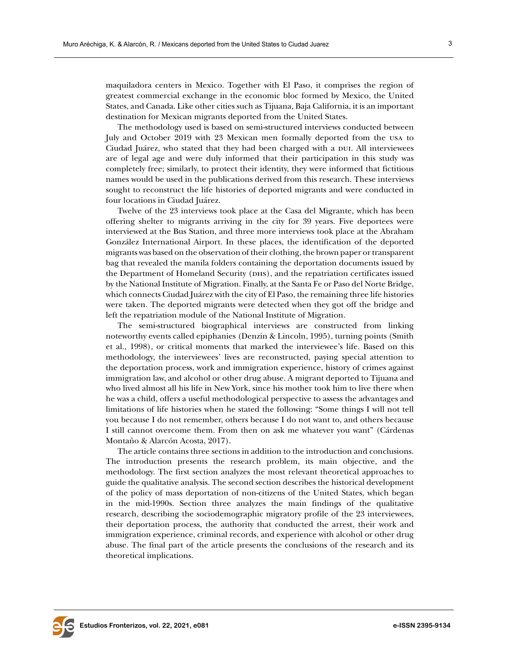maquiladora centers in Mexico. Together with El Paso, it comprises the region of greatest commercial exchange in the economic bloc formed by Mexico, the United States, and Canada. Like other cities such as Tijuana, Baja California, it is an important destination for Mexican migrants deported from the United States.

The methodology used is based on semi-structured interviews conducted between July and October 2019 with 23 Mexican men formally deported from the usa to Ciudad Juárez, who stated that they had been charged with a dui. All interviewees are of legal age and were duly informed that their participation in this study was completely free; similarly, to protect their identity, they were informed that fictitious names would be used in the publications derived from this research. These interviews sought to reconstruct the life histories of deported migrants and were conducted in four locations in Ciudad Juárez.

Twelve of the 23 interviews took place at the Casa del Migrante, which has been offering shelter to migrants arriving in the city for 39 years. Five deportees were interviewed at the Bus Station, and three more interviews took place at the Abraham González International Airport. In these places, the identification of the deported migrants was based on the observation of their clothing, the brown paper or transparent bag that revealed the manila folders containing the deportation documents issued by the Department of Homeland Security (dhs), and the repatriation certificates issued by the National Institute of Migration. Finally, at the Santa Fe or Paso del Norte Bridge, which connects Ciudad Juárez with the city of El Paso, the remaining three life histories were taken. The deported migrants were detected when they got off the bridge and left the repatriation module of the National Institute of Migration.

The semi-structured biographical interviews are constructed from linking noteworthy events called epiphanies (Denzin & Lincoln, 1995), turning points (Smith et al., 1998), or critical moments that marked the interviewee's life. Based on this methodology, the interviewees' lives are reconstructed, paying special attention to the deportation process, work and immigration experience, history of crimes against immigration law, and alcohol or other drug abuse. A migrant deported to Tijuana and who lived almost all his life in New York, since his mother took him to live there when he was a child, offers a useful methodological perspective to assess the advantages and limitations of life histories when he stated the following: "Some things I will not tell you because I do not remember, others because I do not want to, and others because I still cannot overcome them. From then on ask me whatever you want" (Cárdenas Montaño & Alarcón Acosta, 2017).

The article contains three sections in addition to the introduction and conclusions. The introduction presents the research problem, its main objective, and the methodology. The first section analyzes the most relevant theoretical approaches to guide the qualitative analysis. The second section describes the historical development of the policy of mass deportation of non-citizens of the United States, which began in the mid-1990s. Section three analyzes the main findings of the qualitative research, describing the sociodemographic migratory profile of the 23 interviewees, their deportation process, the authority that conducted the arrest, their work and immigration experience, criminal records, and experience with alcohol or other drug abuse. The final part of the article presents the conclusions of the research and its theoretical implications.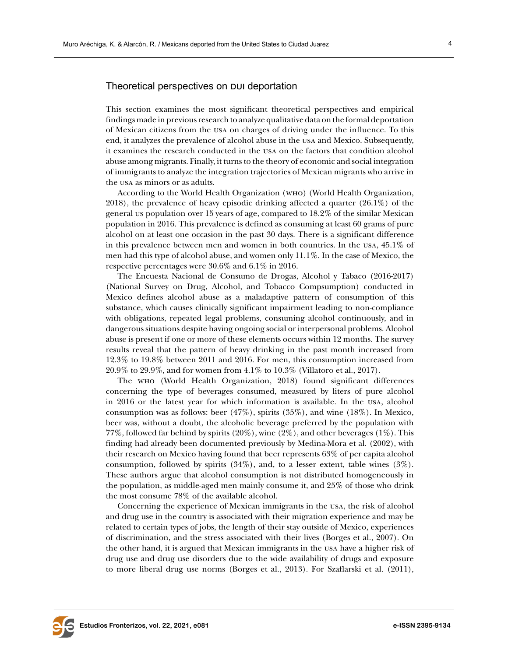### Theoretical perspectives on dui deportation

This section examines the most significant theoretical perspectives and empirical findings made in previous research to analyze qualitative data on the formal deportation of Mexican citizens from the usa on charges of driving under the influence. To this end, it analyzes the prevalence of alcohol abuse in the usa and Mexico. Subsequently, it examines the research conducted in the usa on the factors that condition alcohol abuse among migrants. Finally, it turns to the theory of economic and social integration of immigrants to analyze the integration trajectories of Mexican migrants who arrive in the usa as minors or as adults.

According to the World Health Organization (who) (World Health Organization, 2018), the prevalence of heavy episodic drinking affected a quarter (26.1%) of the general us population over 15 years of age, compared to 18.2% of the similar Mexican population in 2016. This prevalence is defined as consuming at least 60 grams of pure alcohol on at least one occasion in the past 30 days. There is a significant difference in this prevalence between men and women in both countries. In the usa, 45.1% of men had this type of alcohol abuse, and women only 11.1%. In the case of Mexico, the respective percentages were 30.6% and 6.1% in 2016.

The Encuesta Nacional de Consumo de Drogas, Alcohol y Tabaco (2016-2017) (National Survey on Drug, Alcohol, and Tobacco Compsumption) conducted in Mexico defines alcohol abuse as a maladaptive pattern of consumption of this substance, which causes clinically significant impairment leading to non-compliance with obligations, repeated legal problems, consuming alcohol continuously, and in dangerous situations despite having ongoing social or interpersonal problems. Alcohol abuse is present if one or more of these elements occurs within 12 months. The survey results reveal that the pattern of heavy drinking in the past month increased from 12.3% to 19.8% between 2011 and 2016. For men, this consumption increased from 20.9% to 29.9%, and for women from 4.1% to 10.3% (Villatoro et al., 2017).

The who (World Health Organization, 2018) found significant differences concerning the type of beverages consumed, measured by liters of pure alcohol in 2016 or the latest year for which information is available. In the usa, alcohol consumption was as follows: beer  $(47\%)$ , spirits  $(35\%)$ , and wine  $(18\%)$ . In Mexico, beer was, without a doubt, the alcoholic beverage preferred by the population with 77%, followed far behind by spirits (20%), wine (2%), and other beverages (1%). This finding had already been documented previously by Medina-Mora et al. (2002), with their research on Mexico having found that beer represents 63% of per capita alcohol consumption, followed by spirits (34%), and, to a lesser extent, table wines (3%). These authors argue that alcohol consumption is not distributed homogeneously in the population, as middle-aged men mainly consume it, and 25% of those who drink the most consume 78% of the available alcohol.

Concerning the experience of Mexican immigrants in the usa, the risk of alcohol and drug use in the country is associated with their migration experience and may be related to certain types of jobs, the length of their stay outside of Mexico, experiences of discrimination, and the stress associated with their lives (Borges et al., 2007). On the other hand, it is argued that Mexican immigrants in the usa have a higher risk of drug use and drug use disorders due to the wide availability of drugs and exposure to more liberal drug use norms (Borges et al., 2013). For Szaflarski et al. (2011),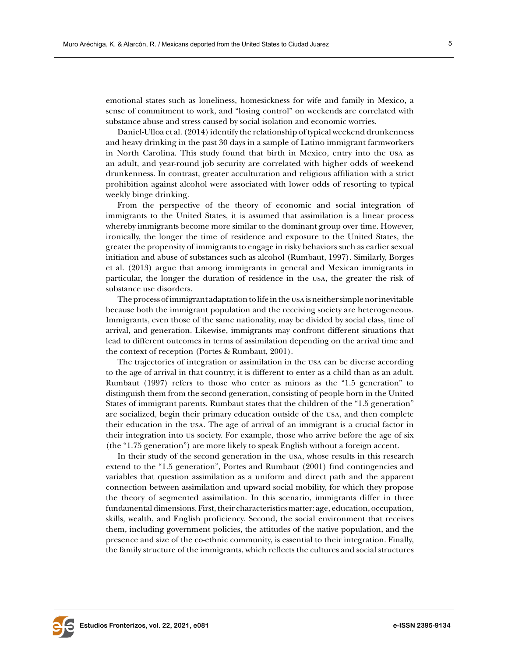emotional states such as loneliness, homesickness for wife and family in Mexico, a sense of commitment to work, and "losing control" on weekends are correlated with substance abuse and stress caused by social isolation and economic worries.

Daniel-Ulloa et al. (2014) identify the relationship of typical weekend drunkenness and heavy drinking in the past 30 days in a sample of Latino immigrant farmworkers in North Carolina. This study found that birth in Mexico, entry into the usa as an adult, and year-round job security are correlated with higher odds of weekend drunkenness. In contrast, greater acculturation and religious affiliation with a strict prohibition against alcohol were associated with lower odds of resorting to typical weekly binge drinking.

From the perspective of the theory of economic and social integration of immigrants to the United States, it is assumed that assimilation is a linear process whereby immigrants become more similar to the dominant group over time. However, ironically, the longer the time of residence and exposure to the United States, the greater the propensity of immigrants to engage in risky behaviors such as earlier sexual initiation and abuse of substances such as alcohol (Rumbaut, 1997). Similarly, Borges et al. (2013) argue that among immigrants in general and Mexican immigrants in particular, the longer the duration of residence in the usa, the greater the risk of substance use disorders.

The process of immigrant adaptation to life in the usa is neither simple nor inevitable because both the immigrant population and the receiving society are heterogeneous. Immigrants, even those of the same nationality, may be divided by social class, time of arrival, and generation. Likewise, immigrants may confront different situations that lead to different outcomes in terms of assimilation depending on the arrival time and the context of reception (Portes & Rumbaut, 2001).

The trajectories of integration or assimilation in the usa can be diverse according to the age of arrival in that country; it is different to enter as a child than as an adult. Rumbaut (1997) refers to those who enter as minors as the "1.5 generation" to distinguish them from the second generation, consisting of people born in the United States of immigrant parents. Rumbaut states that the children of the "1.5 generation" are socialized, begin their primary education outside of the usa, and then complete their education in the usa. The age of arrival of an immigrant is a crucial factor in their integration into us society. For example, those who arrive before the age of six (the "1.75 generation") are more likely to speak English without a foreign accent.

In their study of the second generation in the usa, whose results in this research extend to the "1.5 generation", Portes and Rumbaut (2001) find contingencies and variables that question assimilation as a uniform and direct path and the apparent connection between assimilation and upward social mobility, for which they propose the theory of segmented assimilation. In this scenario, immigrants differ in three fundamental dimensions. First, their characteristics matter: age, education, occupation, skills, wealth, and English proficiency. Second, the social environment that receives them, including government policies, the attitudes of the native population, and the presence and size of the co-ethnic community, is essential to their integration. Finally, the family structure of the immigrants, which reflects the cultures and social structures

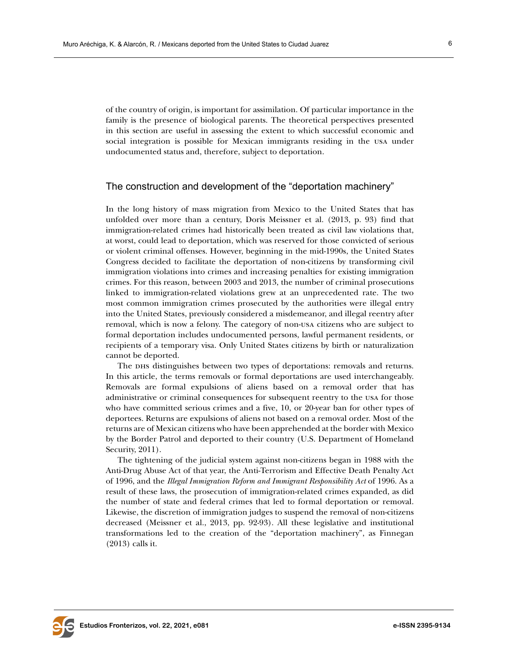of the country of origin, is important for assimilation. Of particular importance in the family is the presence of biological parents. The theoretical perspectives presented in this section are useful in assessing the extent to which successful economic and social integration is possible for Mexican immigrants residing in the usa under undocumented status and, therefore, subject to deportation.

## The construction and development of the "deportation machinery"

In the long history of mass migration from Mexico to the United States that has unfolded over more than a century, Doris Meissner et al. (2013, p. 93) find that immigration-related crimes had historically been treated as civil law violations that, at worst, could lead to deportation, which was reserved for those convicted of serious or violent criminal offenses. However, beginning in the mid-1990s, the United States Congress decided to facilitate the deportation of non-citizens by transforming civil immigration violations into crimes and increasing penalties for existing immigration crimes. For this reason, between 2003 and 2013, the number of criminal prosecutions linked to immigration-related violations grew at an unprecedented rate. The two most common immigration crimes prosecuted by the authorities were illegal entry into the United States, previously considered a misdemeanor, and illegal reentry after removal, which is now a felony. The category of non-usa citizens who are subject to formal deportation includes undocumented persons, lawful permanent residents, or recipients of a temporary visa. Only United States citizens by birth or naturalization cannot be deported.

The DHS distinguishes between two types of deportations: removals and returns. In this article, the terms removals or formal deportations are used interchangeably. Removals are formal expulsions of aliens based on a removal order that has administrative or criminal consequences for subsequent reentry to the usa for those who have committed serious crimes and a five, 10, or 20-year ban for other types of deportees. Returns are expulsions of aliens not based on a removal order. Most of the returns are of Mexican citizens who have been apprehended at the border with Mexico by the Border Patrol and deported to their country (U.S. Department of Homeland Security, 2011).

The tightening of the judicial system against non-citizens began in 1988 with the Anti-Drug Abuse Act of that year, the Anti-Terrorism and Effective Death Penalty Act of 1996, and the *Illegal Immigration Reform and Immigrant Responsibility Act* of 1996. As a result of these laws, the prosecution of immigration-related crimes expanded, as did the number of state and federal crimes that led to formal deportation or removal. Likewise, the discretion of immigration judges to suspend the removal of non-citizens decreased (Meissner et al., 2013, pp. 92-93). All these legislative and institutional transformations led to the creation of the "deportation machinery", as Finnegan (2013) calls it.

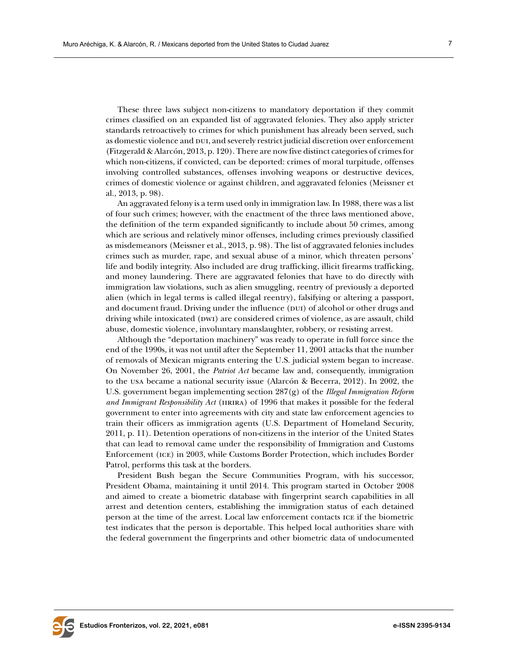crimes classified on an expanded list of aggravated felonies. They also apply stricter standards retroactively to crimes for which punishment has already been served, such as domestic violence and dui, and severely restrict judicial discretion over enforcement (Fitzgerald & Alarcón, 2013, p. 120). There are now five distinct categories of crimes for which non-citizens, if convicted, can be deported: crimes of moral turpitude, offenses involving controlled substances, offenses involving weapons or destructive devices, crimes of domestic violence or against children, and aggravated felonies (Meissner et al., 2013, p. 98).

An aggravated felony is a term used only in immigration law. In 1988, there was a list of four such crimes; however, with the enactment of the three laws mentioned above, the definition of the term expanded significantly to include about 50 crimes, among which are serious and relatively minor offenses, including crimes previously classified as misdemeanors (Meissner et al., 2013, p. 98). The list of aggravated felonies includes crimes such as murder, rape, and sexual abuse of a minor, which threaten persons' life and bodily integrity. Also included are drug trafficking, illicit firearms trafficking, and money laundering. There are aggravated felonies that have to do directly with immigration law violations, such as alien smuggling, reentry of previously a deported alien (which in legal terms is called illegal reentry), falsifying or altering a passport, and document fraud. Driving under the influence (DUI) of alcohol or other drugs and driving while intoxicated (DWI) are considered crimes of violence, as are assault, child abuse, domestic violence, involuntary manslaughter, robbery, or resisting arrest.

Although the "deportation machinery" was ready to operate in full force since the end of the 1990s, it was not until after the September 11, 2001 attacks that the number of removals of Mexican migrants entering the U.S. judicial system began to increase. On November 26, 2001, the *Patriot Act* became law and, consequently, immigration to the usa became a national security issue (Alarcón & Becerra, 2012). In 2002, the U.S. government began implementing section 287(g) of the *Illegal Immigration Reform and Immigrant Responsibility Act* (IIRIRA) of 1996 that makes it possible for the federal government to enter into agreements with city and state law enforcement agencies to train their officers as immigration agents (U.S. Department of Homeland Security, 2011, p. 11). Detention operations of non-citizens in the interior of the United States that can lead to removal came under the responsibility of Immigration and Customs Enforcement (ice) in 2003, while Customs Border Protection, which includes Border Patrol, performs this task at the borders.

President Bush began the Secure Communities Program, with his successor, President Obama, maintaining it until 2014. This program started in October 2008 and aimed to create a biometric database with fingerprint search capabilities in all arrest and detention centers, establishing the immigration status of each detained person at the time of the arrest. Local law enforcement contacts ice if the biometric test indicates that the person is deportable. This helped local authorities share with the federal government the fingerprints and other biometric data of undocumented

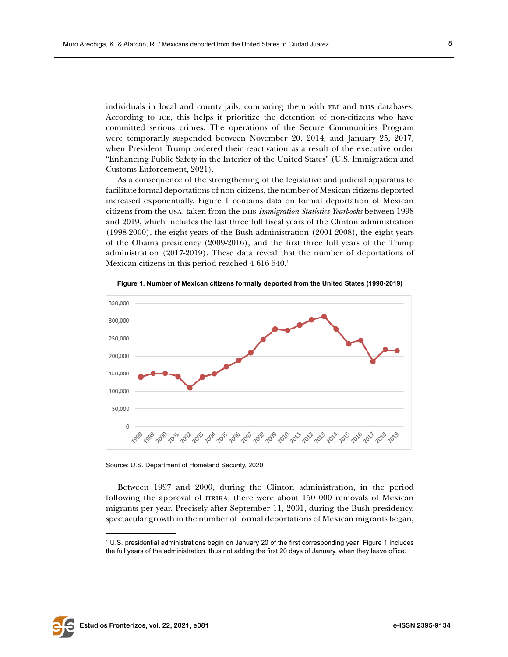individuals in local and county jails, comparing them with FBI and DHS databases. According to ice, this helps it prioritize the detention of non-citizens who have committed serious crimes. The operations of the Secure Communities Program were temporarily suspended between November 20, 2014, and January 25, 2017, when President Trump ordered their reactivation as a result of the executive order "Enhancing Public Safety in the Interior of the United States" (U.S. Immigration and Customs Enforcement, 2021).

As a consequence of the strengthening of the legislative and judicial apparatus to facilitate formal deportations of non-citizens, the number of Mexican citizens deported increased exponentially. Figure 1 contains data on formal deportation of Mexican citizens from the usa, taken from the dhs *Immigration Statistics Yearbooks* between 1998 and 2019, which includes the last three full fiscal years of the Clinton administration (1998-2000), the eight years of the Bush administration (2001-2008), the eight years of the Obama presidency (2009-2016), and the first three full years of the Trump administration (2017-2019). These data reveal that the number of deportations of Mexican citizens in this period reached 4 616 540.<sup>1</sup>



**Figure 1. Number of Mexican citizens formally deported from the United States (1998-2019)**

Source: U.S. Department of Homeland Security, 2020

Between 1997 and 2000, during the Clinton administration, in the period following the approval of IIRIRA, there were about 150 000 removals of Mexican migrants per year. Precisely after September 11, 2001, during the Bush presidency, spectacular growth in the number of formal deportations of Mexican migrants began,



<sup>1</sup> U.S. presidential administrations begin on January 20 of the first corresponding year; Figure 1 includes the full years of the administration, thus not adding the first 20 days of January, when they leave office.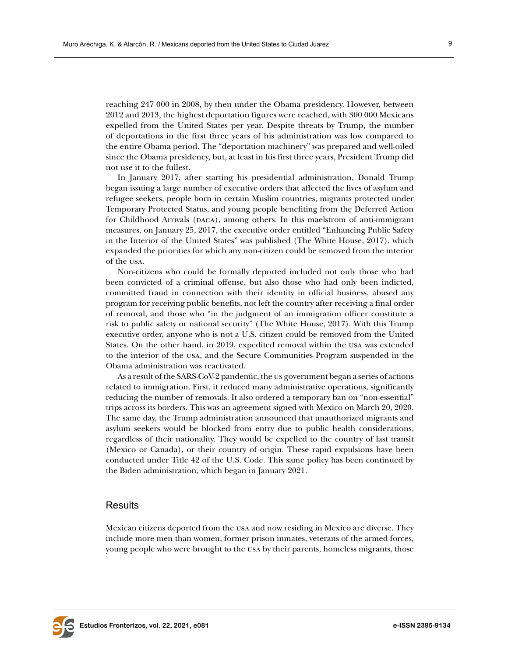reaching 247 000 in 2008, by then under the Obama presidency. However, between 2012 and 2013, the highest deportation figures were reached, with 300 000 Mexicans expelled from the United States per year. Despite threats by Trump, the number of deportations in the first three years of his administration was low compared to the entire Obama period. The "deportation machinery" was prepared and well-oiled since the Obama presidency, but, at least in his first three years, President Trump did not use it to the fullest.

In January 2017, after starting his presidential administration, Donald Trump began issuing a large number of executive orders that affected the lives of asylum and refugee seekers, people born in certain Muslim countries, migrants protected under Temporary Protected Status, and young people benefiting from the Deferred Action for Childhood Arrivals (DACA), among others. In this maelstrom of anti-immigrant measures, on January 25, 2017, the executive order entitled "Enhancing Public Safety in the Interior of the United States" was published (The White House, 2017), which expanded the priorities for which any non-citizen could be removed from the interior of the usa.

Non-citizens who could be formally deported included not only those who had been convicted of a criminal offense, but also those who had only been indicted, committed fraud in connection with their identity in official business, abused any program for receiving public benefits, not left the country after receiving a final order of removal, and those who "in the judgment of an immigration officer constitute a risk to public safety or national security" (The White House, 2017). With this Trump executive order, anyone who is not a U.S. citizen could be removed from the United States. On the other hand, in 2019, expedited removal within the usa was extended to the interior of the usa, and the Secure Communities Program suspended in the Obama administration was reactivated.

As a result of the SARS-CoV-2 pandemic, the us government began a series of actions related to immigration. First, it reduced many administrative operations, significantly reducing the number of removals. It also ordered a temporary ban on "non-essential" trips across its borders. This was an agreement signed with Mexico on March 20, 2020. The same day, the Trump administration announced that unauthorized migrants and asylum seekers would be blocked from entry due to public health considerations, regardless of their nationality. They would be expelled to the country of last transit (Mexico or Canada), or their country of origin. These rapid expulsions have been conducted under Title 42 of the U.S. Code. This same policy has been continued by the Biden administration, which began in January 2021.

#### **Results**

Mexican citizens deported from the usa and now residing in Mexico are diverse. They include more men than women, former prison inmates, veterans of the armed forces, young people who were brought to the usa by their parents, homeless migrants, those

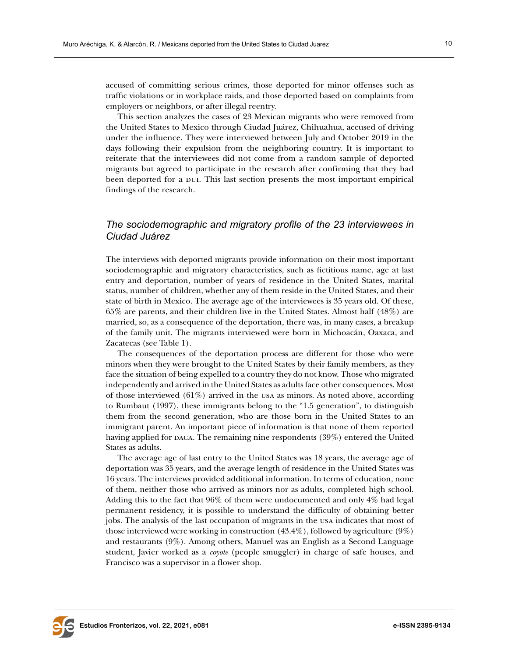accused of committing serious crimes, those deported for minor offenses such as traffic violations or in workplace raids, and those deported based on complaints from employers or neighbors, or after illegal reentry.

This section analyzes the cases of 23 Mexican migrants who were removed from the United States to Mexico through Ciudad Juárez, Chihuahua, accused of driving under the influence. They were interviewed between July and October 2019 in the days following their expulsion from the neighboring country. It is important to reiterate that the interviewees did not come from a random sample of deported migrants but agreed to participate in the research after confirming that they had been deported for a pui. This last section presents the most important empirical findings of the research.

## *The sociodemographic and migratory profile of the 23 interviewees in Ciudad Juárez*

The interviews with deported migrants provide information on their most important sociodemographic and migratory characteristics, such as fictitious name, age at last entry and deportation, number of years of residence in the United States, marital status, number of children, whether any of them reside in the United States, and their state of birth in Mexico. The average age of the interviewees is 35 years old. Of these, 65% are parents, and their children live in the United States. Almost half (48%) are married, so, as a consequence of the deportation, there was, in many cases, a breakup of the family unit. The migrants interviewed were born in Michoacán, Oaxaca, and Zacatecas (see Table 1).

The consequences of the deportation process are different for those who were minors when they were brought to the United States by their family members, as they face the situation of being expelled to a country they do not know. Those who migrated independently and arrived in the United States as adults face other consequences. Most of those interviewed  $(61\%)$  arrived in the usa as minors. As noted above, according to Rumbaut (1997), these immigrants belong to the "1.5 generation", to distinguish them from the second generation, who are those born in the United States to an immigrant parent. An important piece of information is that none of them reported having applied for DACA. The remaining nine respondents (39%) entered the United States as adults.

The average age of last entry to the United States was 18 years, the average age of deportation was 35 years, and the average length of residence in the United States was 16 years. The interviews provided additional information. In terms of education, none of them, neither those who arrived as minors nor as adults, completed high school. Adding this to the fact that 96% of them were undocumented and only 4% had legal permanent residency, it is possible to understand the difficulty of obtaining better jobs. The analysis of the last occupation of migrants in the usa indicates that most of those interviewed were working in construction  $(43.4\%)$ , followed by agriculture  $(9\%)$ and restaurants (9%). Among others, Manuel was an English as a Second Language student, Javier worked as a *coyote* (people smuggler) in charge of safe houses, and Francisco was a supervisor in a flower shop.

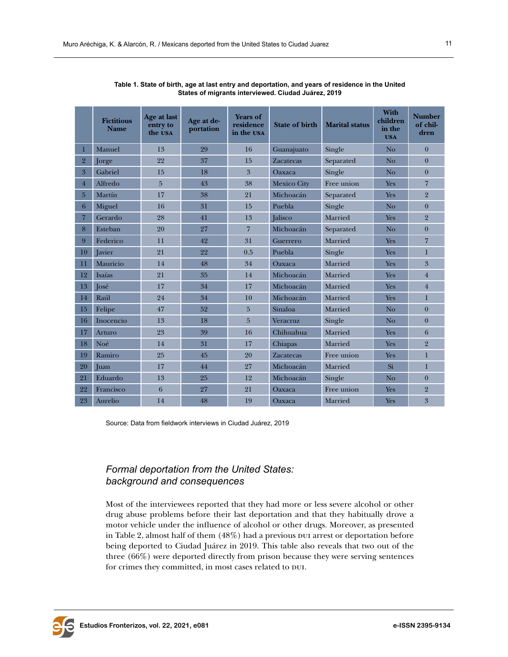|                | <b>Fictitious</b><br><b>Name</b> | Age at last<br>entry to<br>the USA | Age at de-<br>portation | <b>Years of</b><br>residence<br>in the USA | <b>State of birth</b> | <b>Marital status</b> | <b>With</b><br>children<br>in the<br><b>USA</b> | <b>Number</b><br>of chil-<br>dren |
|----------------|----------------------------------|------------------------------------|-------------------------|--------------------------------------------|-----------------------|-----------------------|-------------------------------------------------|-----------------------------------|
| 1              | Manuel                           | 13                                 | 29                      | 16                                         | Guanajuato            | Single                | No                                              | $\theta$                          |
| $\overline{2}$ | Jorge                            | 22                                 | 37                      | 15                                         | <b>Zacatecas</b>      | Separated             | N <sub>o</sub>                                  | $\theta$                          |
| 3              | Gabriel                          | 15                                 | 18                      | 3                                          | Oaxaca                | Single                | No                                              | $\theta$                          |
| $\overline{4}$ | Alfredo                          | $\overline{5}$                     | 43                      | 38                                         | <b>Mexico City</b>    | Free union            | Yes                                             | $\overline{7}$                    |
| 5              | Martín                           | 17                                 | 38                      | 21                                         | Michoacán             | Separated             | Yes                                             | $\overline{2}$                    |
| 6              | Miguel                           | 16                                 | 31                      | 15                                         | Puebla                | Single                | No                                              | $\overline{0}$                    |
| 7              | Gerardo                          | 28                                 | 41                      | 13                                         | Jalisco               | Married               | Yes                                             | $\overline{2}$                    |
| 8              | Esteban                          | 20                                 | 27                      | $\overline{7}$                             | Michoacán             | Separated             | No                                              | $\theta$                          |
| 9              | Federico                         | 11                                 | 42                      | 31                                         | Guerrero              | Married               | Yes                                             | $\overline{7}$                    |
| 10             | Javier                           | 21                                 | 22                      | 0.5                                        | Puebla                | Single                | Yes                                             | $\mathbf{I}$                      |
| 11             | Mauricio                         | 14                                 | 48                      | 34                                         | <b>Oaxaca</b>         | Married               | <b>Yes</b>                                      | $\overline{3}$                    |
| 12             | Isaías                           | 21                                 | 35                      | 14                                         | Michoacán             | Married               | <b>Yes</b>                                      | $\overline{4}$                    |
| 13             | <b>José</b>                      | 17                                 | 34                      | 17                                         | Michoacán             | Married               | Yes                                             | $\overline{4}$                    |
| 14             | Raúl                             | 24                                 | 34                      | 10                                         | Michoacán             | Married               | Yes                                             | $\mathbf{1}$                      |
| 15             | Felipe                           | 47                                 | 52                      | 5                                          | Sinaloa               | Married               | N <sub>o</sub>                                  | $\theta$                          |
| 16             | Inocencio                        | 13                                 | 18                      | $\overline{5}$                             | Veracruz              | Single                | N <sub>o</sub>                                  | $\theta$                          |
| 17             | Arturo                           | 23                                 | 39                      | 16                                         | Chihuahua             | Married               | Yes                                             | $6\phantom{1}6$                   |
| 18             | Noé                              | 14                                 | 31                      | 17                                         | Chiapas               | Married               | <b>Yes</b>                                      | $\overline{2}$                    |
| 19             | Ramiro                           | 25                                 | 45                      | 20                                         | Zacatecas             | Free union            | Yes                                             | $\mathbf{1}$                      |
| 20             | Juan                             | 17                                 | 44                      | 27                                         | Michoacán             | Married               | Si                                              | $\mathbf{1}$                      |
| 21             | Eduardo                          | 13                                 | 25                      | 12                                         | Michoacán             | Single                | N <sub>o</sub>                                  | $\theta$                          |
| 22             | Francisco                        | 6                                  | 27                      | 21                                         | Oaxaca                | Free union            | Yes                                             | $\overline{2}$                    |
| 23             | Aurelio                          | 14                                 | 48                      | 19                                         | Oaxaca                | Married               | Yes                                             | 3                                 |

**Table 1. State of birth, age at last entry and deportation, and years of residence in the United States of migrants interviewed. Ciudad Juárez, 2019**

Source: Data from fieldwork interviews in Ciudad Juárez, 2019

# *Formal deportation from the United States: background and consequences*

Most of the interviewees reported that they had more or less severe alcohol or other drug abuse problems before their last deportation and that they habitually drove a motor vehicle under the influence of alcohol or other drugs. Moreover, as presented in Table 2, almost half of them (48%) had a previous dui arrest or deportation before being deported to Ciudad Juárez in 2019. This table also reveals that two out of the three (66%) were deported directly from prison because they were serving sentences for crimes they committed, in most cases related to DUI.

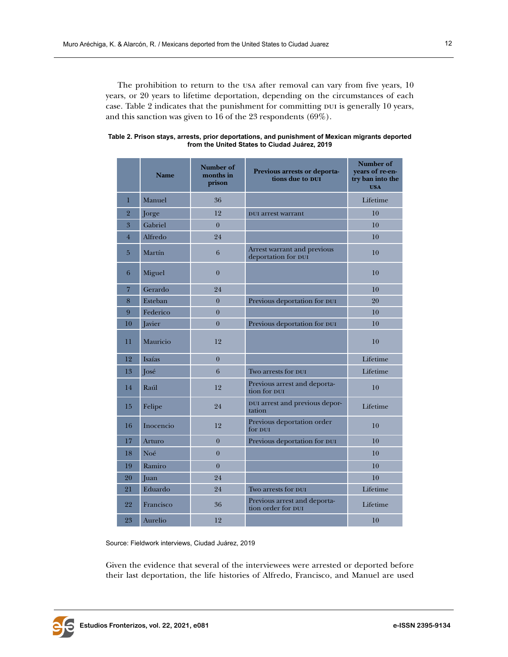The prohibition to return to the usa after removal can vary from five years, 10 years, or 20 years to lifetime deportation, depending on the circumstances of each case. Table 2 indicates that the punishment for committing dui is generally 10 years, and this sanction was given to 16 of the 23 respondents (69%).

|                | <b>Name</b> | Number of<br>months in<br>prison | Previous arrests or deporta-<br>tions due to DUI   | Number of<br>years of re-en-<br>try ban into the<br><b>USA</b> |
|----------------|-------------|----------------------------------|----------------------------------------------------|----------------------------------------------------------------|
| 1              | Manuel      | 36                               |                                                    | Lifetime                                                       |
| $\overline{2}$ | Jorge       | 12                               | DUI arrest warrant                                 | 10                                                             |
| 3              | Gabriel     | $\overline{0}$                   |                                                    | 10                                                             |
| $\overline{4}$ | Alfredo     | 24                               |                                                    | 10                                                             |
| 5              | Martín      | 6                                | Arrest warrant and previous<br>deportation for DUI | 10                                                             |
| 6              | Miguel      | $\overline{0}$                   |                                                    | 10                                                             |
| 7              | Gerardo     | 24                               |                                                    | 10                                                             |
| 8              | Esteban     | $\overline{0}$                   | Previous deportation for DUI                       | 20                                                             |
| 9              | Federico    | $\theta$                         |                                                    | 10                                                             |
| 10             | Javier      | $\overline{0}$                   | Previous deportation for DUI                       | 10                                                             |
| 11             | Mauricio    | 12                               |                                                    | 10                                                             |
| 12             | Isaías      | $\theta$                         |                                                    | Lifetime                                                       |
| 13             | José        | 6                                | Two arrests for DUI                                | Lifetime                                                       |
| 14             | Raúl        | 12                               | Previous arrest and deporta-<br>tion for pur       | 10                                                             |
| 15             | Felipe      | 24                               | DUI arrest and previous depor-<br>tation           | Lifetime                                                       |
| 16             | Inocencio   | 12                               | Previous deportation order<br>for <b>DUI</b>       | 10                                                             |
| 17             | Arturo      | $\overline{0}$                   | Previous deportation for DUI                       | 10                                                             |
| 18             | Noé         | $\overline{0}$                   |                                                    | 10                                                             |
| 19             | Ramiro      | $\overline{0}$                   |                                                    | 10                                                             |
| 20             | Juan        | 24                               |                                                    | 10                                                             |
| 21             | Eduardo     | 24                               | Two arrests for DUI                                | Lifetime                                                       |
| 22             | Francisco   | 36                               | Previous arrest and deporta-<br>tion order for put | Lifetime                                                       |
| 23             | Aurelio     | 12                               |                                                    | 10                                                             |

**Table 2. Prison stays, arrests, prior deportations, and punishment of Mexican migrants deported from the United States to Ciudad Juárez, 2019**

Source: Fieldwork interviews, Ciudad Juárez, 2019

Given the evidence that several of the interviewees were arrested or deported before their last deportation, the life histories of Alfredo, Francisco, and Manuel are used

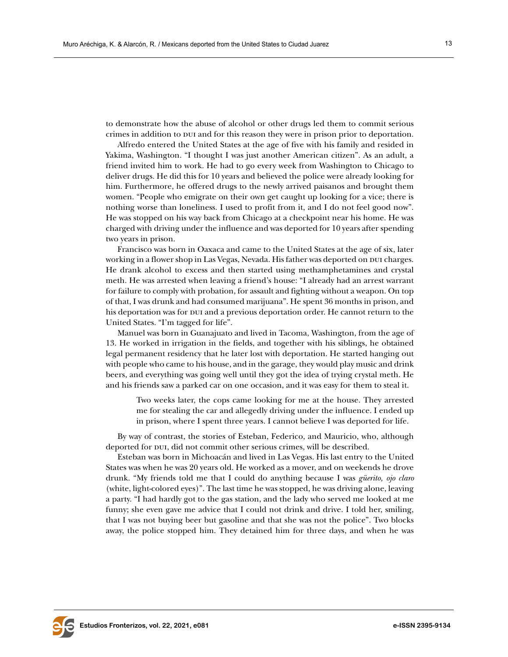to demonstrate how the abuse of alcohol or other drugs led them to commit serious crimes in addition to bui and for this reason they were in prison prior to deportation.

Alfredo entered the United States at the age of five with his family and resided in Yakima, Washington. "I thought I was just another American citizen". As an adult, a friend invited him to work. He had to go every week from Washington to Chicago to deliver drugs. He did this for 10 years and believed the police were already looking for him. Furthermore, he offered drugs to the newly arrived paisanos and brought them women. "People who emigrate on their own get caught up looking for a vice; there is nothing worse than loneliness. I used to profit from it, and I do not feel good now". He was stopped on his way back from Chicago at a checkpoint near his home. He was charged with driving under the influence and was deported for 10 years after spending two years in prison.

Francisco was born in Oaxaca and came to the United States at the age of six, later working in a flower shop in Las Vegas, Nevada. His father was deported on  $\overline{D}$  currences. He drank alcohol to excess and then started using methamphetamines and crystal meth. He was arrested when leaving a friend's house: "I already had an arrest warrant for failure to comply with probation, for assault and fighting without a weapon. On top of that, I was drunk and had consumed marijuana". He spent 36 months in prison, and his deportation was for  $DUI$  and a previous deportation order. He cannot return to the United States. "I'm tagged for life".

Manuel was born in Guanajuato and lived in Tacoma, Washington, from the age of 13. He worked in irrigation in the fields, and together with his siblings, he obtained legal permanent residency that he later lost with deportation. He started hanging out with people who came to his house, and in the garage, they would play music and drink beers, and everything was going well until they got the idea of trying crystal meth. He and his friends saw a parked car on one occasion, and it was easy for them to steal it.

Two weeks later, the cops came looking for me at the house. They arrested me for stealing the car and allegedly driving under the influence. I ended up in prison, where I spent three years. I cannot believe I was deported for life.

By way of contrast, the stories of Esteban, Federico, and Mauricio, who, although deported for  $p$ ui, did not commit other serious crimes, will be described.

Esteban was born in Michoacán and lived in Las Vegas. His last entry to the United States was when he was 20 years old. He worked as a mover, and on weekends he drove drunk. "My friends told me that I could do anything because I was *güerito, ojo claro* (white, light-colored eyes)". The last time he was stopped, he was driving alone, leaving a party. "I had hardly got to the gas station, and the lady who served me looked at me funny; she even gave me advice that I could not drink and drive. I told her, smiling, that I was not buying beer but gasoline and that she was not the police". Two blocks away, the police stopped him. They detained him for three days, and when he was

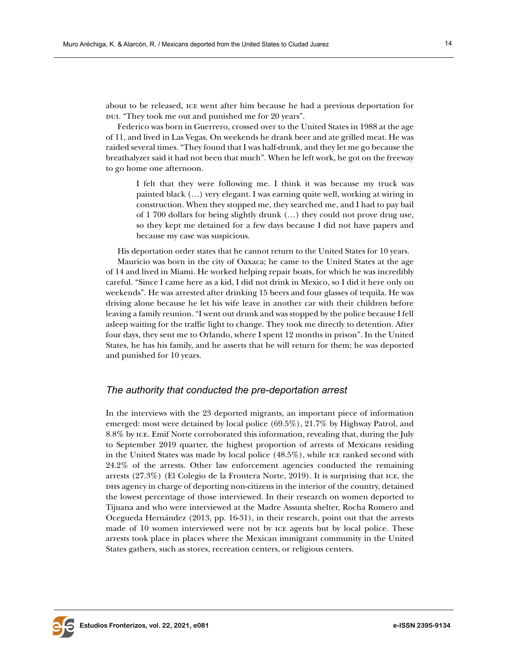about to be released, ice went after him because he had a previous deportation for bui. "They took me out and punished me for 20 years".

Federico was born in Guerrero, crossed over to the United States in 1988 at the age of 11, and lived in Las Vegas. On weekends he drank beer and ate grilled meat. He was raided several times. "They found that I was half-drunk, and they let me go because the breathalyzer said it had not been that much". When he left work, he got on the freeway to go home one afternoon.

I felt that they were following me. I think it was because my truck was painted black (…) very elegant. I was earning quite well, working at wiring in construction. When they stopped me, they searched me, and I had to pay bail of 1 700 dollars for being slightly drunk (…) they could not prove drug use, so they kept me detained for a few days because I did not have papers and because my case was suspicious.

His deportation order states that he cannot return to the United States for 10 years.

Mauricio was born in the city of Oaxaca; he came to the United States at the age of 14 and lived in Miami. He worked helping repair boats, for which he was incredibly careful. "Since I came here as a kid, I did not drink in Mexico, so I did it here only on weekends". He was arrested after drinking 15 beers and four glasses of tequila. He was driving alone because he let his wife leave in another car with their children before leaving a family reunion. "I went out drunk and was stopped by the police because I fell asleep waiting for the traffic light to change. They took me directly to detention. After four days, they sent me to Orlando, where I spent 12 months in prison". In the United States, he has his family, and he asserts that he will return for them; he was deported and punished for 10 years.

## *The authority that conducted the pre-deportation arrest*

In the interviews with the 23 deported migrants, an important piece of information emerged: most were detained by local police (69.5%), 21.7% by Highway Patrol, and 8.8% by ice. Emif Norte corroborated this information, revealing that, during the July to September 2019 quarter, the highest proportion of arrests of Mexicans residing in the United States was made by local police (48.5%), while ice ranked second with 24.2% of the arrests. Other law enforcement agencies conducted the remaining arrests (27.3%) (El Colegio de la Frontera Norte, 2019). It is surprising that ice, the dhese parameters agency in charge of deporting non-citizens in the interior of the country, detained the lowest percentage of those interviewed. In their research on women deported to Tijuana and who were interviewed at the Madre Assunta shelter, Rocha Romero and Ocegueda Hernández (2013, pp. 16-31), in their research, point out that the arrests made of 10 women interviewed were not by ice agents but by local police. These arrests took place in places where the Mexican immigrant community in the United States gathers, such as stores, recreation centers, or religious centers.

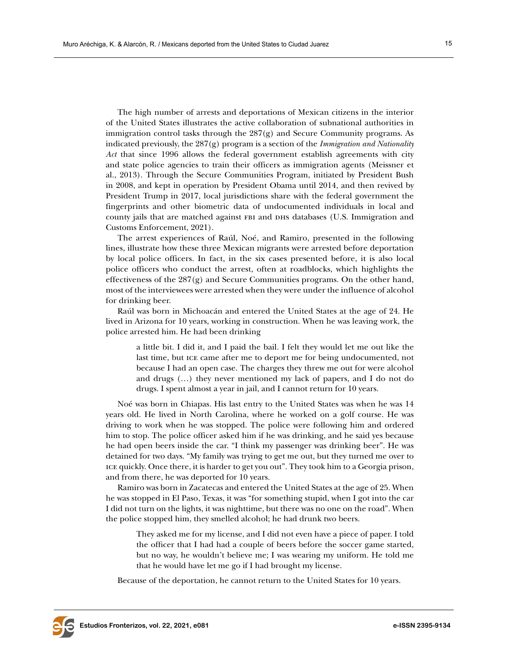The high number of arrests and deportations of Mexican citizens in the interior of the United States illustrates the active collaboration of subnational authorities in immigration control tasks through the  $287(g)$  and Secure Community programs. As indicated previously, the 287(g) program is a section of the *Immigration and Nationality Act* that since 1996 allows the federal government establish agreements with city and state police agencies to train their officers as immigration agents (Meissner et al., 2013). Through the Secure Communities Program, initiated by President Bush in 2008, and kept in operation by President Obama until 2014, and then revived by President Trump in 2017, local jurisdictions share with the federal government the fingerprints and other biometric data of undocumented individuals in local and county jails that are matched against FBI and DHS databases (U.S. Immigration and Customs Enforcement, 2021).

The arrest experiences of Raúl, Noé, and Ramiro, presented in the following lines, illustrate how these three Mexican migrants were arrested before deportation by local police officers. In fact, in the six cases presented before, it is also local police officers who conduct the arrest, often at roadblocks, which highlights the effectiveness of the  $287(g)$  and Secure Communities programs. On the other hand, most of the interviewees were arrested when they were under the influence of alcohol for drinking beer.

Raúl was born in Michoacán and entered the United States at the age of 24. He lived in Arizona for 10 years, working in construction. When he was leaving work, the police arrested him. He had been drinking

a little bit. I did it, and I paid the bail. I felt they would let me out like the last time, but ice came after me to deport me for being undocumented, not because I had an open case. The charges they threw me out for were alcohol and drugs (…) they never mentioned my lack of papers, and I do not do drugs. I spent almost a year in jail, and I cannot return for 10 years.

Noé was born in Chiapas. His last entry to the United States was when he was 14 years old. He lived in North Carolina, where he worked on a golf course. He was driving to work when he was stopped. The police were following him and ordered him to stop. The police officer asked him if he was drinking, and he said yes because he had open beers inside the car. "I think my passenger was drinking beer". He was detained for two days. "My family was trying to get me out, but they turned me over to ice quickly. Once there, it is harder to get you out". They took him to a Georgia prison, and from there, he was deported for 10 years.

Ramiro was born in Zacatecas and entered the United States at the age of 25. When he was stopped in El Paso, Texas, it was "for something stupid, when I got into the car I did not turn on the lights, it was nighttime, but there was no one on the road". When the police stopped him, they smelled alcohol; he had drunk two beers.

They asked me for my license, and I did not even have a piece of paper. I told the officer that I had had a couple of beers before the soccer game started, but no way, he wouldn't believe me; I was wearing my uniform. He told me that he would have let me go if I had brought my license.

Because of the deportation, he cannot return to the United States for 10 years.

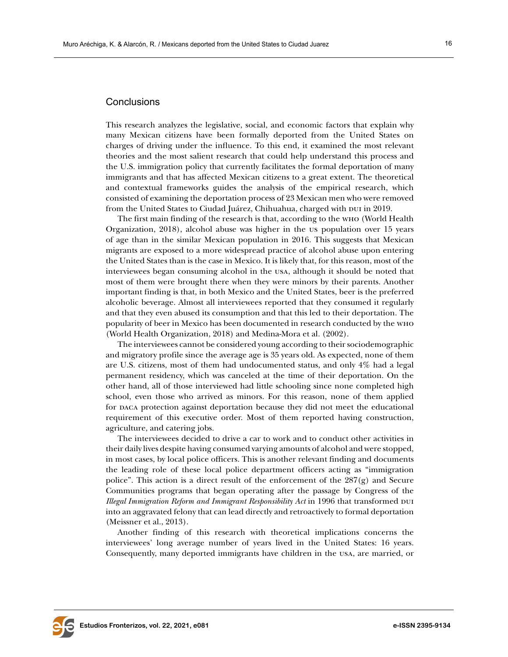### **Conclusions**

This research analyzes the legislative, social, and economic factors that explain why many Mexican citizens have been formally deported from the United States on charges of driving under the influence. To this end, it examined the most relevant theories and the most salient research that could help understand this process and the U.S. immigration policy that currently facilitates the formal deportation of many immigrants and that has affected Mexican citizens to a great extent. The theoretical and contextual frameworks guides the analysis of the empirical research, which consisted of examining the deportation process of 23 Mexican men who were removed from the United States to Ciudad Juárez, Chihuahua, charged with pui in 2019.

The first main finding of the research is that, according to the who (World Health Organization, 2018), alcohol abuse was higher in the us population over 15 years of age than in the similar Mexican population in 2016. This suggests that Mexican migrants are exposed to a more widespread practice of alcohol abuse upon entering the United States than is the case in Mexico. It is likely that, for this reason, most of the interviewees began consuming alcohol in the usa, although it should be noted that most of them were brought there when they were minors by their parents. Another important finding is that, in both Mexico and the United States, beer is the preferred alcoholic beverage. Almost all interviewees reported that they consumed it regularly and that they even abused its consumption and that this led to their deportation. The popularity of beer in Mexico has been documented in research conducted by the who (World Health Organization, 2018) and Medina-Mora et al. (2002).

The interviewees cannot be considered young according to their sociodemographic and migratory profile since the average age is 35 years old. As expected, none of them are U.S. citizens, most of them had undocumented status, and only 4% had a legal permanent residency, which was canceled at the time of their deportation. On the other hand, all of those interviewed had little schooling since none completed high school, even those who arrived as minors. For this reason, none of them applied for daca protection against deportation because they did not meet the educational requirement of this executive order. Most of them reported having construction, agriculture, and catering jobs.

The interviewees decided to drive a car to work and to conduct other activities in their daily lives despite having consumed varying amounts of alcohol and were stopped, in most cases, by local police officers. This is another relevant finding and documents the leading role of these local police department officers acting as "immigration police". This action is a direct result of the enforcement of the  $287(g)$  and Secure Communities programs that began operating after the passage by Congress of the *Illegal Immigration Reform and Immigrant Responsibility Act* in 1996 that transformed DUI into an aggravated felony that can lead directly and retroactively to formal deportation (Meissner et al., 2013).

Another finding of this research with theoretical implications concerns the interviewees' long average number of years lived in the United States: 16 years. Consequently, many deported immigrants have children in the usa, are married, or

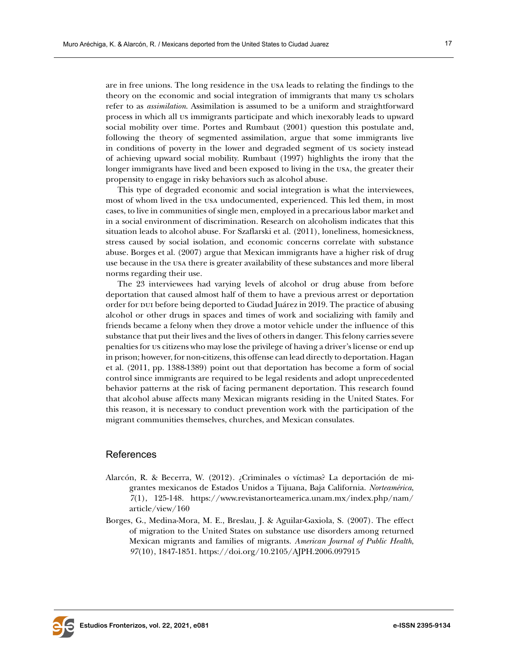are in free unions. The long residence in the usa leads to relating the findings to the theory on the economic and social integration of immigrants that many us scholars refer to as *assimilation*. Assimilation is assumed to be a uniform and straightforward process in which all us immigrants participate and which inexorably leads to upward social mobility over time. Portes and Rumbaut (2001) question this postulate and, following the theory of segmented assimilation, argue that some immigrants live in conditions of poverty in the lower and degraded segment of us society instead of achieving upward social mobility. Rumbaut (1997) highlights the irony that the longer immigrants have lived and been exposed to living in the usa, the greater their propensity to engage in risky behaviors such as alcohol abuse.

This type of degraded economic and social integration is what the interviewees, most of whom lived in the usa undocumented, experienced. This led them, in most cases, to live in communities of single men, employed in a precarious labor market and in a social environment of discrimination. Research on alcoholism indicates that this situation leads to alcohol abuse. For Szaflarski et al. (2011), loneliness, homesickness, stress caused by social isolation, and economic concerns correlate with substance abuse. Borges et al. (2007) argue that Mexican immigrants have a higher risk of drug use because in the usa there is greater availability of these substances and more liberal norms regarding their use.

The 23 interviewees had varying levels of alcohol or drug abuse from before deportation that caused almost half of them to have a previous arrest or deportation order for DUI before being deported to Ciudad Juárez in 2019. The practice of abusing alcohol or other drugs in spaces and times of work and socializing with family and friends became a felony when they drove a motor vehicle under the influence of this substance that put their lives and the lives of others in danger. This felony carries severe penalties for us citizens who may lose the privilege of having a driver's license or end up in prison; however, for non-citizens, this offense can lead directly to deportation. Hagan et al. (2011, pp. 1388-1389) point out that deportation has become a form of social control since immigrants are required to be legal residents and adopt unprecedented behavior patterns at the risk of facing permanent deportation. This research found that alcohol abuse affects many Mexican migrants residing in the United States. For this reason, it is necessary to conduct prevention work with the participation of the migrant communities themselves, churches, and Mexican consulates.

## References

- Alarcón, R. & Becerra, W. (2012). ¿Criminales o víctimas? La deportación de migrantes mexicanos de Estados Unidos a Tijuana, Baja California. *Norteamérica*, *7*(1), 125-148. [https://www.revistanorteamerica.unam.mx/index.php/nam/](https://www.revistanorteamerica.unam.mx/index.php/nam/article/view/160) [article/view/160](https://www.revistanorteamerica.unam.mx/index.php/nam/article/view/160)
- Borges, G., Medina-Mora, M. E., Breslau, J. & Aguilar-Gaxiola, S. (2007). The effect of migration to the United States on substance use disorders among returned Mexican migrants and families of migrants. *American Journal of Public Health*, *97*(10), 1847-1851. <https://doi.org/10.2105/AJPH.2006.097915>

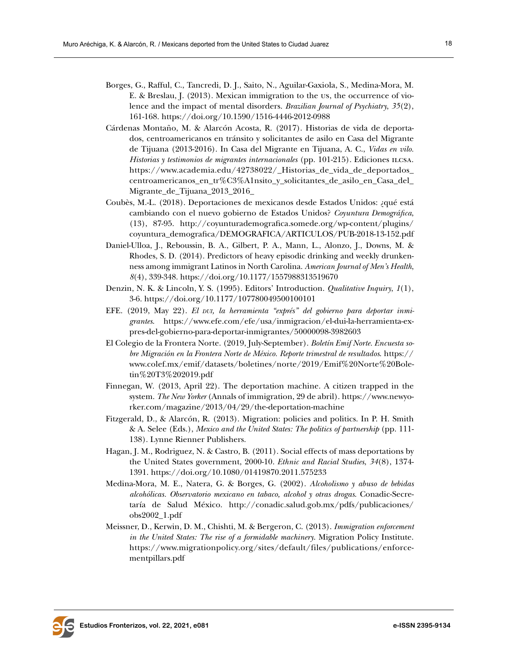- Borges, G., Rafful, C., Tancredi, D. J., Saito, N., Aguilar-Gaxiola, S., Medina-Mora, M. E. & Breslau, J. (2013). Mexican immigration to the us, the occurrence of violence and the impact of mental disorders. *Brazilian Journal of Psychiatry*, *35*(2), 161-168. <https://doi.org/10.1590/1516-4446-2012-0988>
- Cárdenas Montaño, M. & Alarcón Acosta, R. (2017). Historias de vida de deportados, centroamericanos en tránsito y solicitantes de asilo en Casa del Migrante de Tijuana (2013-2016). In Casa del Migrante en Tijuana, A. C., *Vidas en vilo. Historias y testimonios de migrantes internacionales* (pp. 101-215). Ediciones ILCSA. [https://www.academia.edu/42738022/\\_Historias\\_de\\_vida\\_de\\_deportados\\_](https://www.academia.edu/42738022/_Historias_de_vida_de_deportados_centroamericanos_en_tr%C3%A1nsito_y_solicitantes_de_asilo_en_Casa_del_Migrante_de_Tijuana_2013_2016_) [centroamericanos\\_en\\_tr%C3%A1nsito\\_y\\_solicitantes\\_de\\_asilo\\_en\\_Casa\\_del\\_](https://www.academia.edu/42738022/_Historias_de_vida_de_deportados_centroamericanos_en_tr%C3%A1nsito_y_solicitantes_de_asilo_en_Casa_del_Migrante_de_Tijuana_2013_2016_) [Migrante\\_de\\_Tijuana\\_2013\\_2016\\_](https://www.academia.edu/42738022/_Historias_de_vida_de_deportados_centroamericanos_en_tr%C3%A1nsito_y_solicitantes_de_asilo_en_Casa_del_Migrante_de_Tijuana_2013_2016_)
- Coubès, M.-L. (2018). Deportaciones de mexicanos desde Estados Unidos: ¿qué está cambiando con el nuevo gobierno de Estados Unidos? *Coyuntura Demográfica*, (13), 87-95. [http://coyunturademografica.somede.org/wp-content/plugins/](http://coyunturademografica.somede.org/wp-content/plugins/coyuntura_demografica/DEMOGRAFICA/ARTICULOS/PUB-2018-13-152.pdf) [coyuntura\\_demografica/DEMOGRAFICA/ARTICULOS/PUB-2018-13-152.pdf](http://coyunturademografica.somede.org/wp-content/plugins/coyuntura_demografica/DEMOGRAFICA/ARTICULOS/PUB-2018-13-152.pdf)
- Daniel-Ulloa, J., Reboussin, B. A., Gilbert, P. A., Mann, L., Alonzo, J., Downs, M. & Rhodes, S. D. (2014). Predictors of heavy episodic drinking and weekly drunkenness among immigrant Latinos in North Carolina. *American Journal of Men's Health*, *8*(4), 339-348.<https://doi.org/10.1177/1557988313519670>
- Denzin, N. K. & Lincoln, Y. S. (1995). Editors' Introduction. *Qualitative Inquiry*, *1*(1), 3-6. <https://doi.org/10.1177/107780049500100101>
- EFE. (2019, May 22). *El dui, la herramienta "exprés" del gobierno para deportar inmigrantes*. [https://www.efe.com/efe/usa/inmigracion/el-dui-la-herramienta-ex](https://www.efe.com/efe/usa/inmigracion/el-dui-la-herramienta-expres-del-gobierno-para-deportar-inmigrantes/50000098-3982603)[pres-del-gobierno-para-deportar-inmigrantes/50000098-3982603](https://www.efe.com/efe/usa/inmigracion/el-dui-la-herramienta-expres-del-gobierno-para-deportar-inmigrantes/50000098-3982603)
- El Colegio de la Frontera Norte. (2019, July-September). *Boletín Emif Norte. Encuesta sobre Migración en la Frontera Norte de México. Reporte trimestral de resultados*. [https://](https://www.colef.mx/emif/datasets/boletines/norte/2019/Emif%20Norte%20Boletin%20T3%202019.pdf) [www.colef.mx/emif/datasets/boletines/norte/2019/Emif%20Norte%20Bole](https://www.colef.mx/emif/datasets/boletines/norte/2019/Emif%20Norte%20Boletin%20T3%202019.pdf)[tin%20T3%202019.pdf](https://www.colef.mx/emif/datasets/boletines/norte/2019/Emif%20Norte%20Boletin%20T3%202019.pdf)
- Finnegan, W. (2013, April 22). The deportation machine. A citizen trapped in the system. *The New Yorker* (Annals of immigration, 29 de abril). [https://www.newyo](https://www.newyorker.com/magazine/2013/04/29/the-deportation-machine)[rker.com/magazine/2013/04/29/the-deportation-machine](https://www.newyorker.com/magazine/2013/04/29/the-deportation-machine)
- Fitzgerald, D., & Alarcón, R. (2013). Migration: policies and politics. In P. H. Smith & A. Selee (Eds.), *Mexico and the United States: The politics of partnership* (pp. 111- 138). Lynne Rienner Publishers.
- Hagan, J. M., Rodriguez, N. & Castro, B. (2011). Social effects of mass deportations by the United States government, 2000-10. *Ethnic and Racial Studies*, *34*(8), 1374- 1391. <https://doi.org/10.1080/01419870.2011.575233>
- Medina-Mora, M. E., Natera, G. & Borges, G. (2002). *Alcoholismo y abuso de bebidas alcohólicas. Observatorio mexicano en tabaco, alcohol y otras drogas*. Conadic-Secretaría de Salud México. [http://conadic.salud.gob.mx/pdfs/publicaciones/](http://conadic.salud.gob.mx/pdfs/publicaciones/obs2002_1.pdf) [obs2002\\_1.pdf](http://conadic.salud.gob.mx/pdfs/publicaciones/obs2002_1.pdf)
- Meissner, D., Kerwin, D. M., Chishti, M. & Bergeron, C. (2013). *Immigration enforcement in the United States: The rise of a formidable machinery*. Migration Policy Institute. [https://www.migrationpolicy.org/sites/default/files/publications/enforce](https://www.migrationpolicy.org/sites/default/files/publications/enforcementpillars.pdf)[mentpillars.pdf](https://www.migrationpolicy.org/sites/default/files/publications/enforcementpillars.pdf)

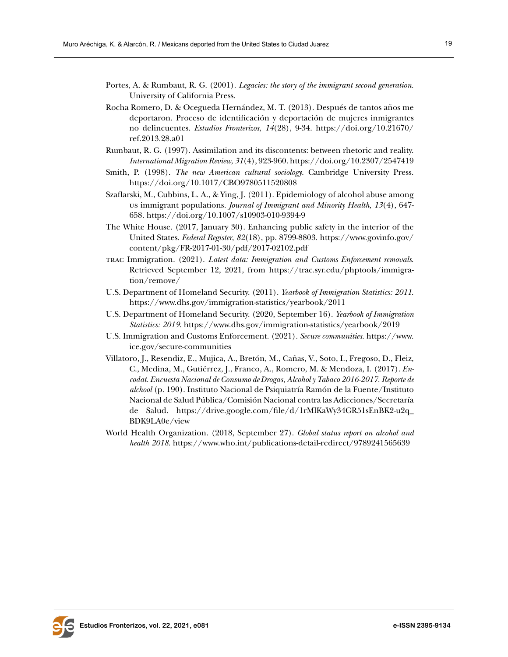- Portes, A. & Rumbaut, R. G. (2001). *Legacies: the story of the immigrant second generation*. University of California Press.
- Rocha Romero, D. & Ocegueda Hernández, M. T. (2013). Después de tantos años me deportaron. Proceso de identificación y deportación de mujeres inmigrantes no delincuentes. *Estudios Fronterizos*, *14*(28), 9-34. [https://doi.org/10.21670/](https://doi.org/10.21670/ref.2013.28.a01) [ref.2013.28.a01](https://doi.org/10.21670/ref.2013.28.a01)
- Rumbaut, R. G. (1997). Assimilation and its discontents: between rhetoric and reality. *International Migration Review*, *31*(4), 923-960.<https://doi.org/10.2307/2547419>
- Smith, P. (1998). *The new American cultural sociology*. Cambridge University Press. <https://doi.org/10.1017/CBO9780511520808>
- Szaflarski, M., Cubbins, L. A., & Ying, J. (2011). Epidemiology of alcohol abuse among us immigrant populations. *Journal of Immigrant and Minority Health*, *13*(4), 647- 658. <https://doi.org/10.1007/s10903-010-9394-9>
- The White House. (2017, January 30). Enhancing public safety in the interior of the United States. *Federal Register*, *82*(18), pp. 8799-8803. [https://www.govinfo.gov/](https://www.govinfo.gov/content/pkg/FR-2017-01-30/pdf/2017-02102.pdf) [content/pkg/FR-2017-01-30/pdf/2017-02102.pdf](https://www.govinfo.gov/content/pkg/FR-2017-01-30/pdf/2017-02102.pdf)
- trac Immigration. (2021). *Latest data: Immigration and Customs Enforcement removals*. Retrieved September 12, 2021, from [https://trac.syr.edu/phptools/immigra](https://trac.syr.edu/phptools/immigration/remove/)[tion/remove/](https://trac.syr.edu/phptools/immigration/remove/)
- U.S. Department of Homeland Security. (2011). *Yearbook of Immigration Statistics: 2011*. <https://www.dhs.gov/immigration-statistics/yearbook/2011>
- U.S. Department of Homeland Security. (2020, September 16). *Yearbook of Immigration Statistics: 2019*. <https://www.dhs.gov/immigration-statistics/yearbook/2019>
- U.S. Immigration and Customs Enforcement. (2021). *Secure communities*. [https://www.](https://www.ice.gov/secure-communities) [ice.gov/secure-communities](https://www.ice.gov/secure-communities)
- Villatoro, J., Resendiz, E., Mujica, A., Bretón, M., Cañas, V., Soto, I., Fregoso, D., Fleiz, C., Medina, M., Gutiérrez, J., Franco, A., Romero, M. & Mendoza, I. (2017). *Encodat. Encuesta Nacional de Consumo de Drogas, Alcohol y Tabaco 2016-2017. Reporte de alchool* (p. 190). Instituto Nacional de Psiquiatría Ramón de la Fuente/Instituto Nacional de Salud Pública/Comisión Nacional contra las Adicciones/Secretaría de Salud. [https://drive.google.com/file/d/1rMlKaWy34GR51sEnBK2-u2q\\_](https://drive.google.com/file/d/1rMlKaWy34GR51sEnBK2-u2q_BDK9LA0e/view) [BDK9LA0e/view](https://drive.google.com/file/d/1rMlKaWy34GR51sEnBK2-u2q_BDK9LA0e/view)
- World Health Organization. (2018, September 27). *Global status report on alcohol and health 2018*.<https://www.who.int/publications-detail-redirect/9789241565639>